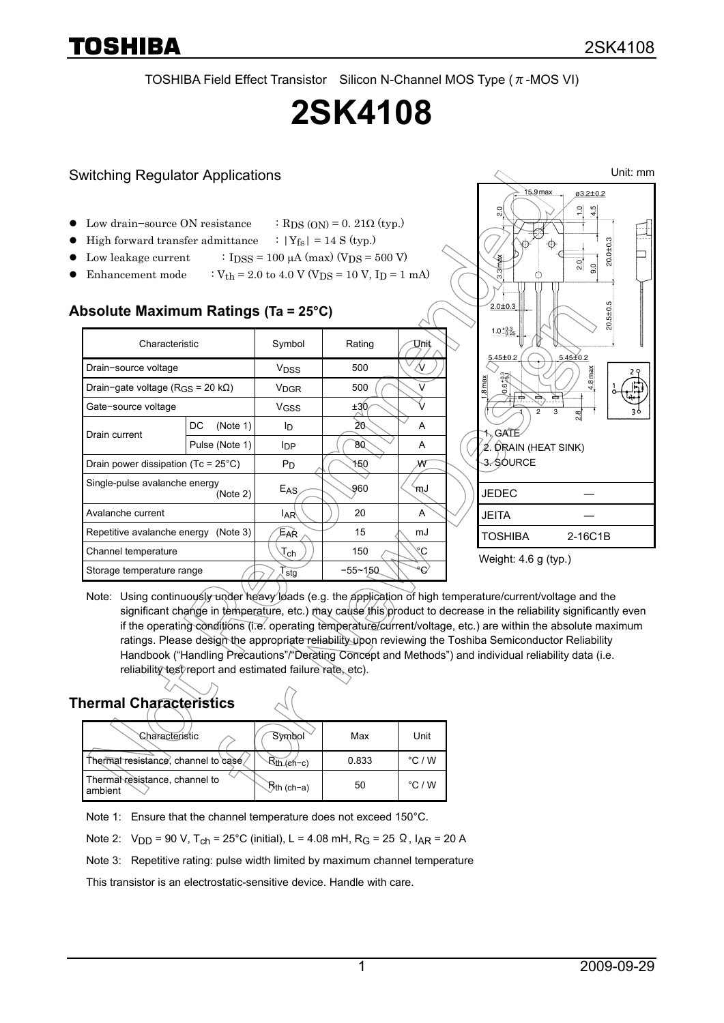TOSHIBA Field Effect Transistor Silicon N-Channel MOS Type ( $\pi$ -MOS VI)

# **2SK4108**

## Switching Regulator Applications

- Low drain–source ON resistance : RDS (ON) = 0. 21 $\Omega$  (typ.)
- High forward transfer admittance  $\therefore$  |Y<sub>fs</sub>| = 14 S (typ.)
- Low leakage current :  $I_{\text{DSS}} = 100 \mu\text{A (max) (V_{\text{DS}} = 500 \text{ V})}$
- Enhancement mode :  $V_{th} = 2.0$  to  $4.0$  V (V<sub>DS</sub> = 10 V, I<sub>D</sub> = 1 mA)

#### **Absolute Maximum Ratings (Ta = 25°C)**

| Characteristic                                |                | Symbol                      | Rating      | Unit   |
|-----------------------------------------------|----------------|-----------------------------|-------------|--------|
| Drain-source voltage                          |                | <b>V<sub>DSS</sub></b>      | 500         |        |
| Drain-gate voltage (R <sub>GS</sub> = 20 kΩ)  |                | V <sub>DGR</sub>            | 500         | $\vee$ |
| Gate-source voltage                           |                | V <sub>GSS</sub>            | ±30         |        |
| Drain current                                 | DC<br>(Note 1) | Iр                          | 20          | A      |
|                                               | Pulse (Note 1) | <b>I</b> DP                 | 80          | A      |
| Drain power dissipation (Tc = $25^{\circ}$ C) |                | $P_D$                       | 150         | W      |
| Single-pulse avalanche energy<br>(Note 2)     |                | $E_{AS}$                    | 960         | mJ     |
| Avalanche current                             |                | IAR∖                        | 20          | A      |
| Repetitive avalanche energy (Note 3)          |                | Ear                         | 15          | mJ     |
| Channel temperature                           |                | $\mathcal{T}_{\mathsf{ch}}$ | 150         | ۴С     |
| Storage temperature range                     |                | stg                         | $-55 - 150$ | عە     |



Note: Using continuously under heavy loads (e.g. the application of high temperature/current/voltage and the significant change in temperature, etc.) may cause this product to decrease in the reliability significantly even if the operating conditions (i.e. operating temperature/current/voltage, etc.) are within the absolute maximum ratings. Please design the appropriate reliability upon reviewing the Toshiba Semiconductor Reliability Handbook ("Handling Precautions"/"Derating Concept and Methods") and individual reliability data (i.e. reliability test report and estimated failure rate, etc).

## **Thermal Characteristics**

| Characteristic                          | Symbol           | Max   | Unit            |
|-----------------------------------------|------------------|-------|-----------------|
| Thermal resistance, channel to case     | $Rth$ ( $e$ h-c) | 0.833 | $\degree$ C / W |
| ThermaNesistance, channel to<br>ambient | ∖Rth (ch−a)      | 50    | $\degree$ C / W |

Note 1: Ensure that the channel temperature does not exceed 150°C.

Note 2:  $V_{DD}$  = 90 V, T<sub>ch</sub> = 25°C (initial), L = 4.08 mH, R<sub>G</sub> = 25 Ω, I<sub>AR</sub> = 20 A

Note 3: Repetitive rating: pulse width limited by maximum channel temperature

This transistor is an electrostatic-sensitive device. Handle with care.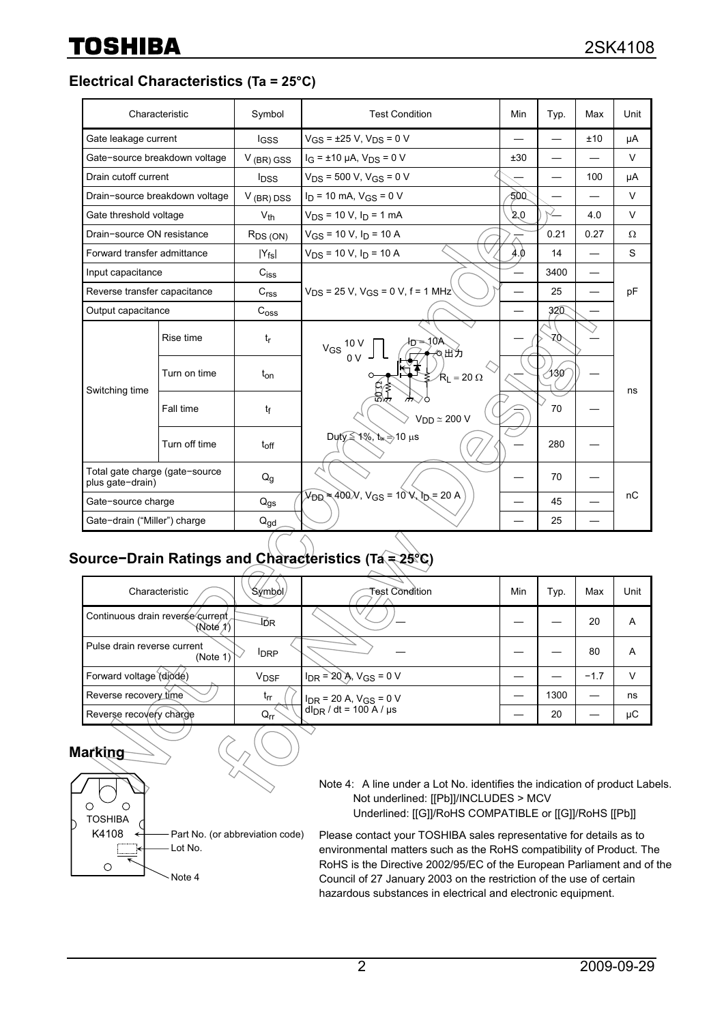**Electrical Characteristics (Ta = 25°C)**

|                                                    | Characteristic                 | Symbol                  | <b>Test Condition</b>                                                                             | Min | Typ. | Max  | Unit   |
|----------------------------------------------------|--------------------------------|-------------------------|---------------------------------------------------------------------------------------------------|-----|------|------|--------|
| Gate leakage current                               |                                | lgss                    | $V_{GS}$ = ±25 V, V <sub>DS</sub> = 0 V                                                           |     |      | ±10  | μA     |
| Gate-source breakdown voltage                      |                                | $V$ (BR) GSS            | $I_G = \pm 10 \mu A$ , $V_{DS} = 0 V$                                                             | ±30 |      |      | $\vee$ |
| Drain cutoff current                               |                                | <b>l</b> <sub>DSS</sub> | $V_{DS}$ = 500 V, V <sub>GS</sub> = 0 V                                                           |     |      | 100  | μA     |
|                                                    | Drain-source breakdown voltage | $V$ (BR) DSS            | $I_D$ = 10 mA, $V_{GS}$ = 0 V                                                                     | 500 |      |      | V      |
| Gate threshold voltage                             |                                | $V_{th}$                | $V_{DS}$ = 10 V, $I_D$ = 1 mA                                                                     | 2.0 | └    | 4.0  | $\vee$ |
| Drain-source ON resistance                         |                                | $R_{DS(ON)}$            | $V_{GS}$ = 10 V, $I_D$ = 10 A                                                                     |     | 0.21 | 0.27 | Ω      |
| Forward transfer admittance                        |                                | $ Y_{fs} $              | $V_{DS}$ = 10 V, $I_D$ = 10 A                                                                     | 4.0 | 14   |      | S      |
| Input capacitance                                  |                                | $C_{\text{iss}}$        |                                                                                                   |     | 3400 |      |        |
| Reverse transfer capacitance                       |                                | C <sub>rss</sub>        | $V_{DS}$ = 25 V, V <sub>GS</sub> = 0 V, f = 1 MHz                                                 |     | 25   |      | pF     |
| Output capacitance                                 |                                | C <sub>oss</sub>        |                                                                                                   |     | 320  |      |        |
| Switching time                                     | Rise time                      | $t_{r}$                 | $h = 10A$<br>$V_{GS}$ 10 V<br>◎出力                                                                 |     | 70   |      |        |
|                                                    | Turn on time                   | t <sub>on</sub>         | $R_L$ = 20 $\Omega$                                                                               |     | ⁄130 |      |        |
|                                                    | Fall time                      | tf                      | er<br>B∯<br>$V_{DD} \simeq 200 V$                                                                 |     | 70   |      | ns     |
|                                                    | Turn off time                  | $t_{off}$               | Duty ≤ 1%, t <sub>w</sub> ⇒ 10 µs                                                                 |     | 280  |      |        |
| Total gate charge (gate-source<br>plus gate-drain) |                                | $Q_g$                   |                                                                                                   |     | 70   |      |        |
| Gate-source charge                                 |                                | $Q_{\text{gs}}$         | $V_{\text{DB}} \approx 400 \text{V}$ , $V_{\text{GS}} = 10 \text{V}$ $V_{\text{D}} = 20 \text{A}$ |     | 45   |      | nC     |
| Gate-drain ("Miller") charge                       |                                | $Q_{gd}$                |                                                                                                   |     | 25   |      |        |

## **Source−Drain Ratings and Characteristics (Ta = 25°C)**

| Characteristic                               | `Sýmból/     | Test Condition                  | Min | Typ. | Max    | Unit |
|----------------------------------------------|--------------|---------------------------------|-----|------|--------|------|
| Continuous drain reverse current<br>(Note 1) | ΙóR          |                                 |     |      | 20     | Α    |
| Pulse drain reverse current<br>(Note 1)      | <b>I</b> DRP |                                 |     |      | 80     | А    |
| Forward voltage (diode)                      | <b>VDSF</b>  | $I_{DR}$ = 20 Å, $V_{GS}$ = 0 V |     |      | $-1.7$ |      |
| Reverse recovery time                        | $t_{rr}$     | $I_{DR}$ = 20 A, $V_{GS}$ = 0 V |     | 1300 |        | ns   |
| Reverse recovery charge                      | $Q_{rr}$     | $d_{DR}$ / dt = 100 A / $\mu$ s |     | 20   |        | μC   |

### **Marking**



Note 4: A line under a Lot No. identifies the indication of product Lab Note 4: A line under a Lot No. identifies the indication of product Labels. Not underlined: [[Pb]]/INCLUDES > MCV Not underlined: [[Pb]]/INCLUDES > MCV Underlined: [[G]]/RoHS COMPATIBLE or [[G]]/RoHS [[Pb]] Underlined: [[G]]/RoHS COMPATIBLE or [[G]]/RoHS [[Pb]]

Please contact your TOSHIBA sales representative for details as to Please contact your TOSHIBA sales representative for details as to environmental matters such as the RoHS compatibility of Product. The environmental matters such as the RoHS compatibility of Product. The RoHS is the Directive 2002/95/EC of the European Parliament and of RoHS is the Directive 2002/95/EC of the European Parliament and of the Council of 27 January 2003 on the restriction of the use of certain Council of 27 January 2003 on the restriction of the use of certain hazardous substances in electrical and electronic equipment. hazardous substances in electrical and electronic equipment.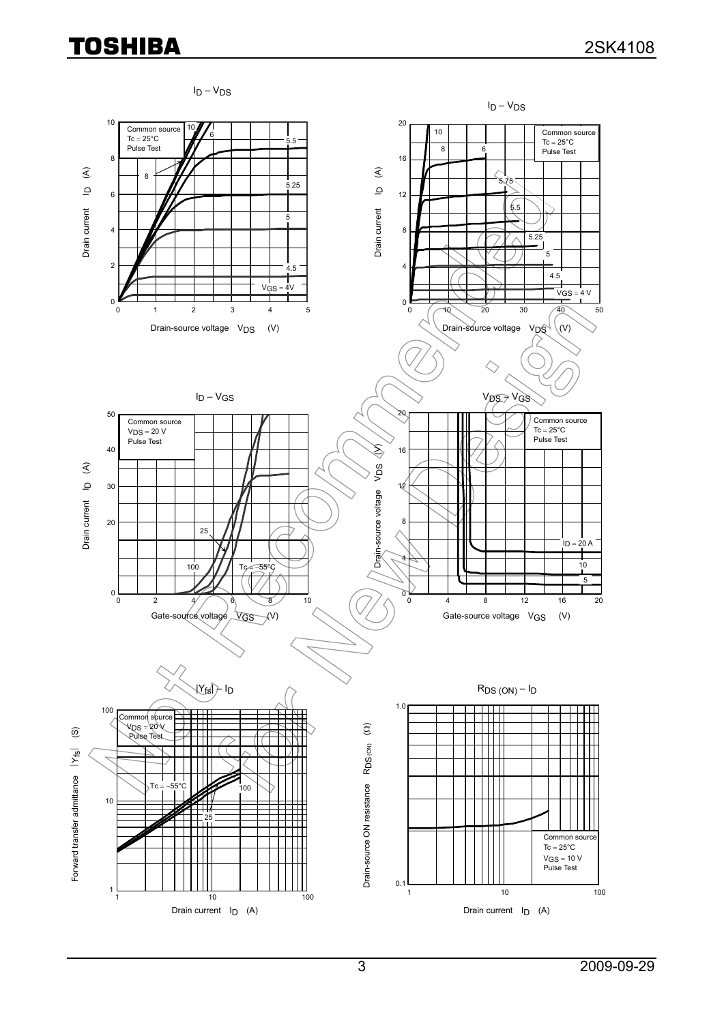# **TOSHIBA**

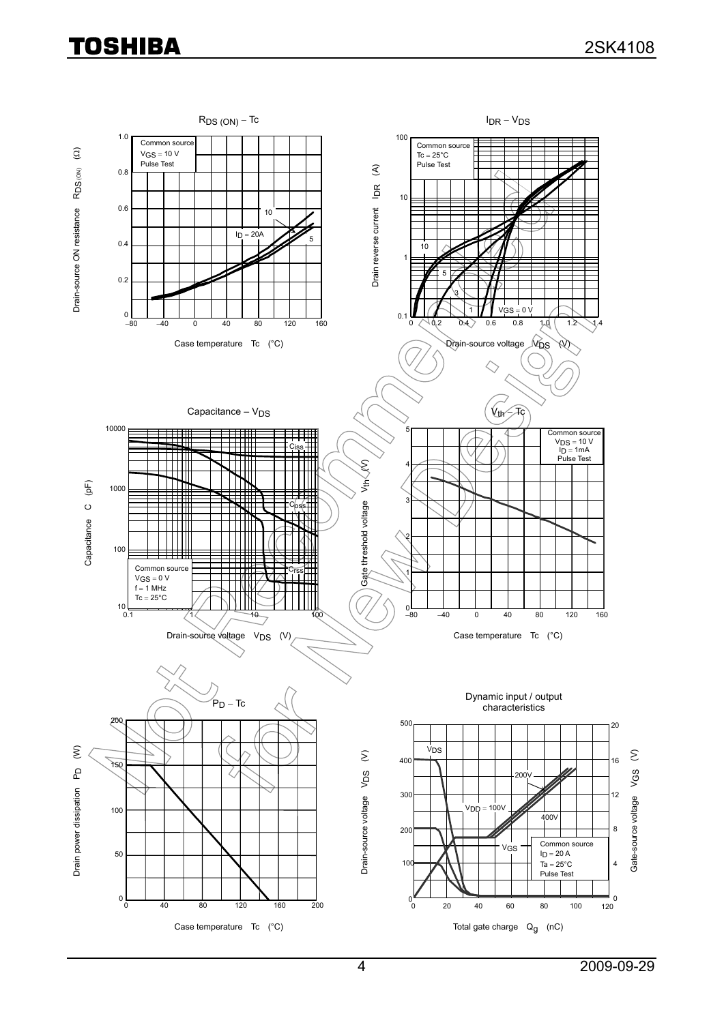## **TOSHIBA**

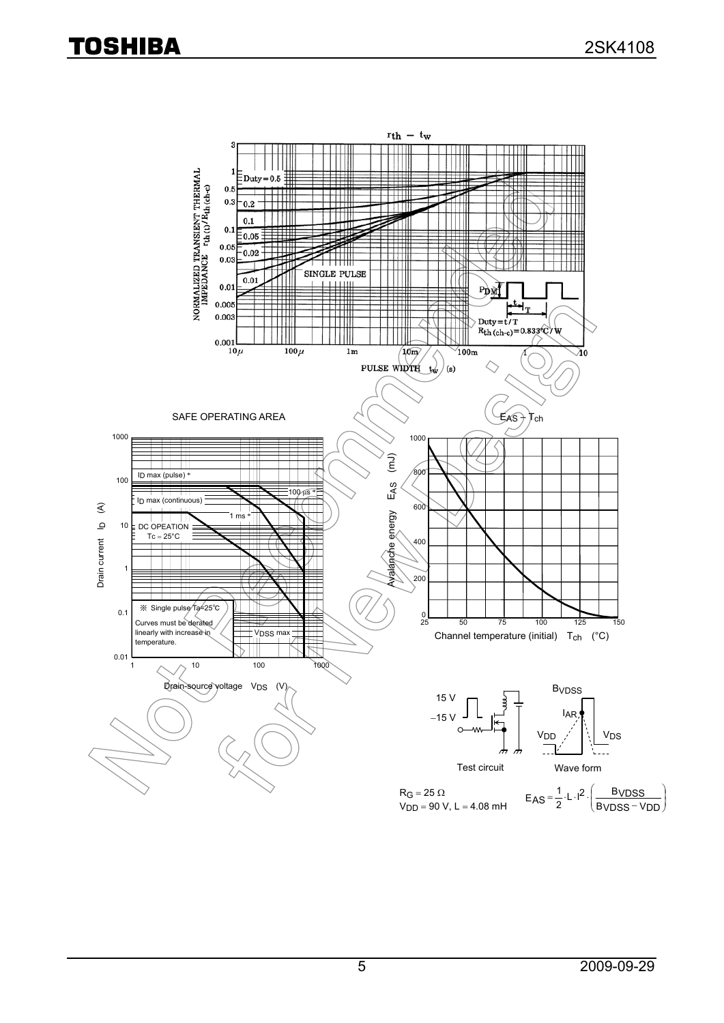